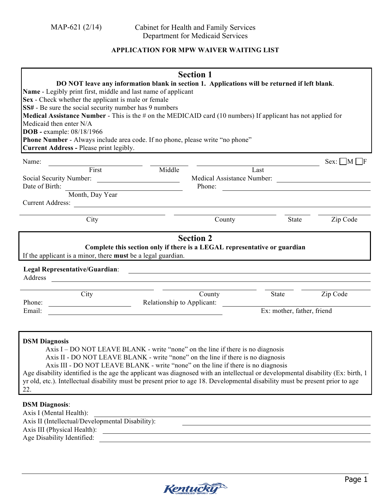## **APPLICATION FOR MPW WAIVER WAITING LIST**

| DO NOT leave any information blank in section 1. Applications will be returned if left blank.<br>Name - Legibly print first, middle and last name of applicant<br>Sex - Check whether the applicant is male or female<br>SS# - Be sure the social security number has 9 numbers<br><b>Medical Assistance Number -</b> This is the $\#$ on the MEDICAID card (10 numbers) If applicant has not applied for<br>Medicaid then enter N/A<br><b>DOB</b> - example: 08/18/1966<br>Phone Number - Always include area code. If no phone, please write "no phone"<br>Current Address - Please print legibly.                                                                                                                              | <b>Section 1</b>                                                                                                                          |                                                            |                                      |
|-----------------------------------------------------------------------------------------------------------------------------------------------------------------------------------------------------------------------------------------------------------------------------------------------------------------------------------------------------------------------------------------------------------------------------------------------------------------------------------------------------------------------------------------------------------------------------------------------------------------------------------------------------------------------------------------------------------------------------------|-------------------------------------------------------------------------------------------------------------------------------------------|------------------------------------------------------------|--------------------------------------|
| Name:<br>and Tirst and Tirst and Tirst and Tirst and Tirst and Tirst and Tirst and Tirst and Tirst and Tirst and Tirst and Tirst and Tirst and Tirst and Tirst and Tirst and Tirst and Tirst and Tirst and Tirst and Tirst and Tirst an                                                                                                                                                                                                                                                                                                                                                                                                                                                                                           |                                                                                                                                           |                                                            | $Sex: \blacksquare M \blacksquare F$ |
| Social Security Number:<br>Date of Birth:<br>Month, Day Year                                                                                                                                                                                                                                                                                                                                                                                                                                                                                                                                                                                                                                                                      | Medical Assistance Number:<br>Phone:                                                                                                      | Last<br><u> 1989 - John Stein, Amerikaansk politiker (</u> |                                      |
|                                                                                                                                                                                                                                                                                                                                                                                                                                                                                                                                                                                                                                                                                                                                   |                                                                                                                                           |                                                            |                                      |
| City                                                                                                                                                                                                                                                                                                                                                                                                                                                                                                                                                                                                                                                                                                                              | County                                                                                                                                    | State                                                      | Zip Code                             |
| Complete this section only if there is a LEGAL representative or guardian<br>If the applicant is a minor, there must be a legal guardian.<br>Legal Representative/Guardian:<br>Address                                                                                                                                                                                                                                                                                                                                                                                                                                                                                                                                            | <b>Section 2</b><br><u> 1989 - Johann Harry Harry Harry Harry Harry Harry Harry Harry Harry Harry Harry Harry Harry Harry Harry Harry</u> |                                                            |                                      |
| City<br>Phone:<br>Relationship to Applicant:                                                                                                                                                                                                                                                                                                                                                                                                                                                                                                                                                                                                                                                                                      | County                                                                                                                                    | State                                                      | Zip Code                             |
| Email:                                                                                                                                                                                                                                                                                                                                                                                                                                                                                                                                                                                                                                                                                                                            |                                                                                                                                           | Ex: mother, father, friend                                 |                                      |
| <b>DSM Diagnosis</b><br>Axis I – DO NOT LEAVE BLANK - write "none" on the line if there is no diagnosis<br>Axis II - DO NOT LEAVE BLANK - write "none" on the line if there is no diagnosis<br>Axis III - DO NOT LEAVE BLANK - write "none" on the line if there is no diagnosis<br>Age disability identified is the age the applicant was diagnosed with an intellectual or developmental disability (Ex: birth, 1)<br>yr old, etc.). Intellectual disability must be present prior to age 18. Developmental disability must be present prior to age<br>22.<br><b>DSM Diagnosis:</b><br>Axis I (Mental Health):<br>Axis II (Intellectual/Developmental Disability):<br>Axis III (Physical Health):<br>Age Disability Identified: |                                                                                                                                           |                                                            |                                      |